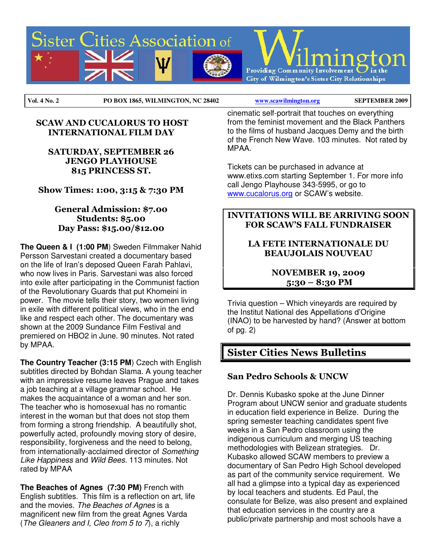

#### SCAW AND CUCALORUS TO HOST INTERNATIONAL FILM DAY

### SATURDAY, SEPTEMBER 26 JENGO PLAYHOUSE 815 PRINCESS ST.

Show Times: 1:00, 3:15 & 7:30 PM

### General Admission: \$7.00 Students: \$5.00 Day Pass: \$15.00/\$12.00

**The Queen & I (1:00 PM**) Sweden Filmmaker Nahid Persson Sarvestani created a documentary based on the life of Iran's deposed Queen Farah Pahlavi, who now lives in Paris. Sarvestani was also forced into exile after participating in the Communist faction of the Revolutionary Guards that put Khomeini in power. The movie tells their story, two women living in exile with different political views, who in the end like and respect each other. The documentary was shown at the 2009 Sundance Film Festival and premiered on HBO2 in June. 90 minutes. Not rated by MPAA.

**The Country Teacher (3:15 PM**) Czech with English subtitles directed by Bohdan Slama. A young teacher with an impressive resume leaves Prague and takes a job teaching at a village grammar school. He makes the acquaintance of a woman and her son. The teacher who is homosexual has no romantic interest in the woman but that does not stop them from forming a strong friendship. A beautifully shot, powerfully acted, profoundly moving story of desire, responsibility, forgiveness and the need to belong, from internationally-acclaimed director of Something Like Happiness and Wild Bees. 113 minutes. Not rated by MPAA

**The Beaches of Agnes (7:30 PM)** French with English subtitles. This film is a reflection on art, life and the movies. The Beaches of Agnes is a magnificent new film from the great Agnes Varda (The Gleaners and I, Cleo from  $5$  to  $7$ ), a richly

cinematic self-portrait that touches on everything from the feminist movement and the Black Panthers to the films of husband Jacques Demy and the birth of the French New Wave. 103 minutes. Not rated by MPAA.

Tickets can be purchased in advance at www.etixs.com starting September 1. For more info call Jengo Playhouse 343-5995, or go to www.cucalorus.org or SCAW's website.

### INVITATIONS WILL BE ARRIVING SOON FOR SCAW'S FALL FUNDRAISER

### LA FETE INTERNATIONALE DU BEAUJOLAIS NOUVEAU

### NOVEMBER 19, 2009 5:30 – 8:30 PM

Trivia question – Which vineyards are required by the Institut National des Appellations d'Origine (INAO) to be harvested by hand? (Answer at bottom of pg. 2)

# Sister Cities News Bulletins

## San Pedro Schools & UNCW

Dr. Dennis Kubasko spoke at the June Dinner Program about UNCW senior and graduate students in education field experience in Belize. During the spring semester teaching candidates spent five weeks in a San Pedro classroom using the indigenous curriculum and merging US teaching methodologies with Belizean strategies. Dr. Kubasko allowed SCAW members to preview a documentary of San Pedro High School developed as part of the community service requirement. We all had a glimpse into a typical day as experienced by local teachers and students. Ed Paul, the consulate for Belize, was also present and explained that education services in the country are a public/private partnership and most schools have a